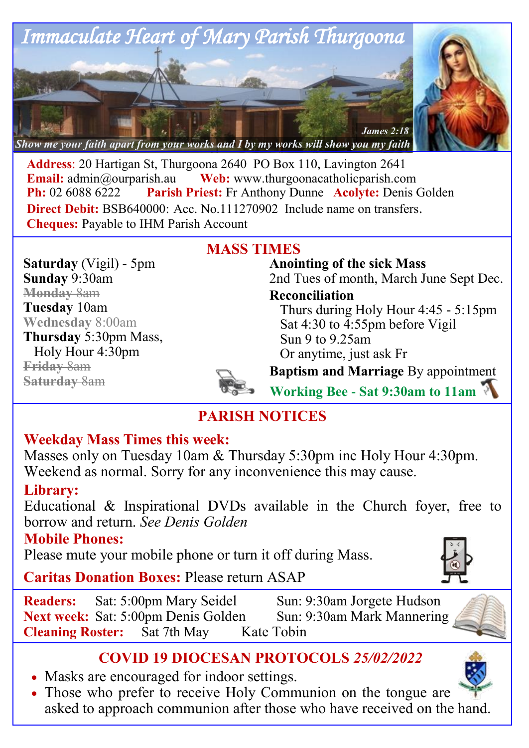

**Address**: 20 Hartigan St, Thurgoona 2640 PO Box 110, Lavington 2641 **Email:**  $\alpha$ <sup>o</sup> admin $\alpha$ <sup>o</sup> aurearish.au **Web:** www.thurgoonacatholicparish.com **Ph:** 02 6088 6222 **Parish Priest:** Fr Anthony Dunne **Acolyte:** Denis Golden **Direct Debit: BSB640000: Acc. No.111270902** Include name on transfers. **Cheques:** Payable to IHM Parish Account

**MASS TIMES**

**Saturday** (Vigil) - 5pm **Sunday** 9:30am **Monday** 8am **Tuesday** 10am **Wednesday** 8:00am **Thursday** 5:30pm Mass, Holy Hour 4:30pm **Friday** 8am **Saturday** 8am

**Anointing of the sick Mass** 2nd Tues of month, March June Sept Dec.

**Reconciliation** 

Thurs during Holy Hour 4:45 - 5:15pm Sat 4:30 to 4:55pm before Vigil Sun 9 to 9.25am Or anytime, just ask Fr

**Baptism and Marriage** By appointment

**Working Bee - Sat 9:30am to 11am**

# **PARISH NOTICES**

# **Weekday Mass Times this week:**

Masses only on Tuesday 10am & Thursday 5:30pm inc Holy Hour 4:30pm. Weekend as normal. Sorry for any inconvenience this may cause.

# **Library:**

Educational & Inspirational DVDs available in the Church foyer, free to borrow and return. *See Denis Golden* 

# **Mobile Phones:**

Please mute your mobile phone or turn it off during Mass.

**Caritas Donation Boxes:** Please return ASAP

**Readers:** Sat: 5:00pm Mary Seidel Sun: 9:30am Jorgete Hudson **Next week:** Sat: 5:00pm Denis Golden Sun: 9:30am Mark Mannering **Cleaning Roster:** Sat 7th May Kate Tobin

# **COVID 19 DIOCESAN PROTOCOLS** *25/02/2022*

- Masks are encouraged for indoor settings.
- Those who prefer to receive Holy Communion on the tongue are asked to approach communion after those who have received on the hand.





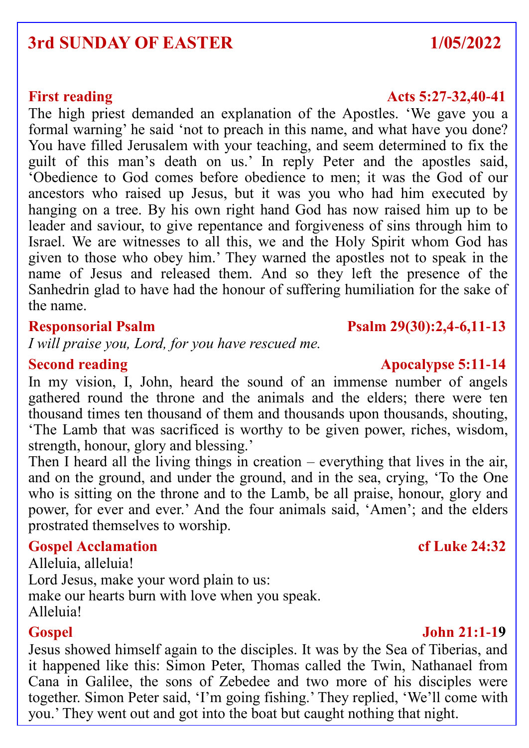# **3rd SUNDAY OF EASTER 1/05/2022**

The high priest demanded an explanation of the Apostles. 'We gave you a formal warning' he said 'not to preach in this name, and what have you done? You have filled Jerusalem with your teaching, and seem determined to fix the guilt of this man's death on us.' In reply Peter and the apostles said, 'Obedience to God comes before obedience to men; it was the God of our ancestors who raised up Jesus, but it was you who had him executed by hanging on a tree. By his own right hand God has now raised him up to be leader and saviour, to give repentance and forgiveness of sins through him to Israel. We are witnesses to all this, we and the Holy Spirit whom God has given to those who obey him.' They warned the apostles not to speak in the name of Jesus and released them. And so they left the presence of the Sanhedrin glad to have had the honour of suffering humiliation for the sake of the name.

### **Responsorial Psalm Psalm 29(30):2,4-6,11-13**

*I will praise you, Lord, for you have rescued me.*

## **Second reading Apocalypse 5:11-14**

In my vision, I, John, heard the sound of an immense number of angels gathered round the throne and the animals and the elders; there were ten thousand times ten thousand of them and thousands upon thousands, shouting, 'The Lamb that was sacrificed is worthy to be given power, riches, wisdom, strength, honour, glory and blessing.'

Then I heard all the living things in creation – everything that lives in the air, and on the ground, and under the ground, and in the sea, crying, 'To the One who is sitting on the throne and to the Lamb, be all praise, honour, glory and power, for ever and ever.' And the four animals said, 'Amen'; and the elders prostrated themselves to worship.

## **Gospel Acclamation cf Luke 24:32**

Alleluia, alleluia! Lord Jesus, make your word plain to us: make our hearts burn with love when you speak. Alleluia!

### **Gospel John 21:1-19**

Jesus showed himself again to the disciples. It was by the Sea of Tiberias, and it happened like this: Simon Peter, Thomas called the Twin, Nathanael from Cana in Galilee, the sons of Zebedee and two more of his disciples were together. Simon Peter said, 'I'm going fishing.' They replied, 'We'll come with you.' They went out and got into the boat but caught nothing that night.

## **First reading Acts 5:27-32,40-41**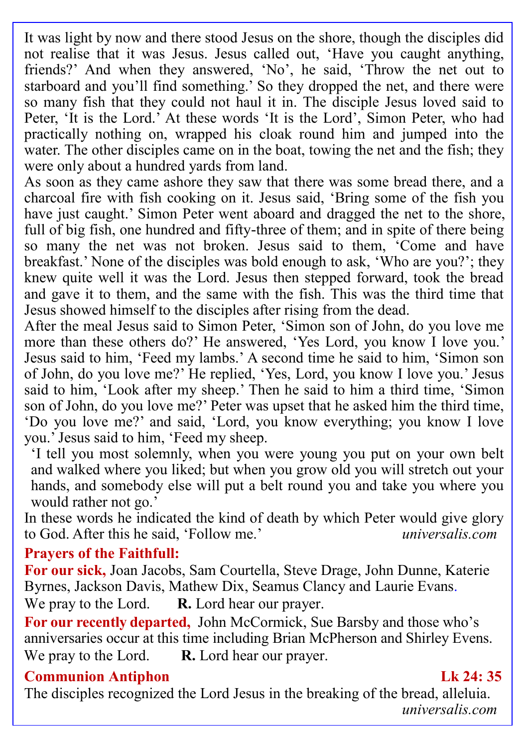It was light by now and there stood Jesus on the shore, though the disciples did not realise that it was Jesus. Jesus called out, 'Have you caught anything, friends?' And when they answered, 'No', he said, 'Throw the net out to starboard and you'll find something.' So they dropped the net, and there were so many fish that they could not haul it in. The disciple Jesus loved said to Peter, 'It is the Lord.' At these words 'It is the Lord', Simon Peter, who had practically nothing on, wrapped his cloak round him and jumped into the water. The other disciples came on in the boat, towing the net and the fish; they were only about a hundred yards from land.

As soon as they came ashore they saw that there was some bread there, and a charcoal fire with fish cooking on it. Jesus said, 'Bring some of the fish you have just caught.' Simon Peter went aboard and dragged the net to the shore, full of big fish, one hundred and fifty-three of them; and in spite of there being so many the net was not broken. Jesus said to them, 'Come and have breakfast.' None of the disciples was bold enough to ask, 'Who are you?'; they knew quite well it was the Lord. Jesus then stepped forward, took the bread and gave it to them, and the same with the fish. This was the third time that Jesus showed himself to the disciples after rising from the dead.

After the meal Jesus said to Simon Peter, 'Simon son of John, do you love me more than these others do?' He answered, 'Yes Lord, you know I love you.' Jesus said to him, 'Feed my lambs.' A second time he said to him, 'Simon son of John, do you love me?' He replied, 'Yes, Lord, you know I love you.' Jesus said to him, 'Look after my sheep.' Then he said to him a third time, 'Simon son of John, do you love me?' Peter was upset that he asked him the third time, 'Do you love me?' and said, 'Lord, you know everything; you know I love you.' Jesus said to him, 'Feed my sheep.

'I tell you most solemnly, when you were young you put on your own belt and walked where you liked; but when you grow old you will stretch out your hands, and somebody else will put a belt round you and take you where you would rather not go.'

In these words he indicated the kind of death by which Peter would give glory to God. After this he said, 'Follow me.' *universalis.com*

## **Prayers of the Faithfull:**

**For our sick,** Joan Jacobs, Sam Courtella, Steve Drage, John Dunne, Katerie Byrnes, Jackson Davis, Mathew Dix, Seamus Clancy and Laurie Evans. We pray to the Lord. **R.** Lord hear our prayer.

**For our recently departed,** John McCormick, Sue Barsby and those who's anniversaries occur at this time including Brian McPherson and Shirley Evens. We pray to the Lord. **R.** Lord hear our prayer.

## **Communion Antiphon Lk 24: 35**

## The disciples recognized the Lord Jesus in the breaking of the bread, alleluia. *universalis.com*